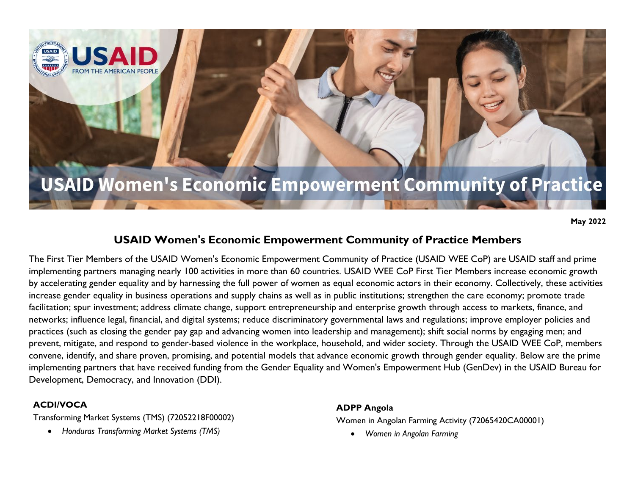# **USAID Women's Economic Empowerment Community of Practice**

**May 2022**

# **USAID Women's Economic Empowerment Community of Practice Members**

The First Tier Members of the USAID Women's Economic Empowerment Community of Practice (USAID WEE CoP) are USAID staff and prime implementing partners managing nearly 100 activities in more than 60 countries. USAID WEE CoP First Tier Members increase economic growth by accelerating gender equality and by harnessing the full power of women as equal economic actors in their economy. Collectively, these activities increase gender equality in business operations and supply chains as well as in public institutions; strengthen the care economy; promote trade facilitation; spur investment; address climate change, support entrepreneurship and enterprise growth through access to markets, finance, and networks; influence legal, financial, and digital systems; reduce discriminatory governmental laws and regulations; improve employer policies and practices (such as closing the gender pay gap and advancing women into leadership and management); shift social norms by engaging men; and prevent, mitigate, and respond to gender-based violence in the workplace, household, and wider society. Through the USAID WEE CoP, members convene, identify, and share proven, promising, and potential models that advance economic growth through gender equality. Below are the prime implementing partners that have received funding from the Gender Equality and Women's Empowerment Hub (GenDev) in the USAID Bureau for Development, Democracy, and Innovation (DDI).

## **ACDI/VOCA**

Transforming Market Systems (TMS) (72052218F00002)

• *Honduras Transforming Market Systems (TMS)*

#### **ADPP Angola**

Women in Angolan Farming Activity (72065420CA00001)

• *Women in Angolan Farming*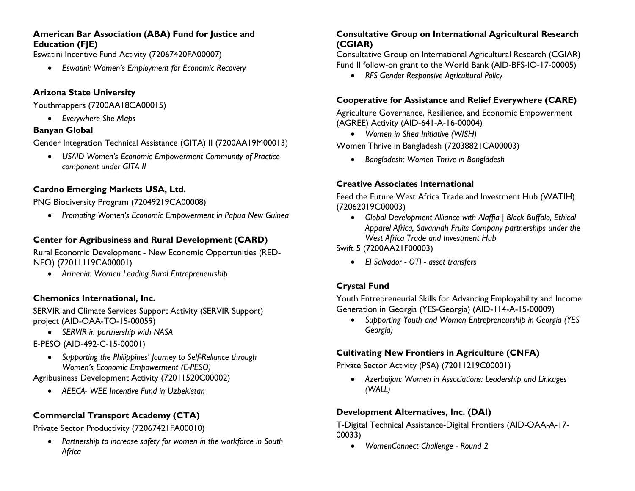#### **American Bar Association (ABA) Fund for Justice and Education (FJE)**

Eswatini Incentive Fund Activity (72067420FA00007)

• *Eswatini: Women's Employment for Economic Recovery*

### **Arizona State University**

Youthmappers (7200AA18CA00015)

• *Everywhere She Maps*

#### **Banyan Global**

Gender Integration Technical Assistance (GITA) II (7200AA19M00013)

• *USAID Women's Economic Empowerment Community of Practice component under GITA II*

## **Cardno Emerging Markets USA, Ltd.**

PNG Biodiversity Program (72049219CA00008)

• *Promoting Women's Economic Empowerment in Papua New Guinea*

## **Center for Agribusiness and Rural Development (CARD)**

Rural Economic Development - New Economic Opportunities (RED-NEO) (72011119CA00001)

• *Armenia: Women Leading Rural Entrepreneurship*

## **Chemonics International, Inc.**

SERVIR and Climate Services Support Activity (SERVIR Support) project (AID-OAA-TO-15-00059)

• *SERVIR in partnership with NASA*

E-PESO (AID-492-C-15-00001)

• *Supporting the Philippines' Journey to Self-Reliance through Women's Economic Empowerment (E-PESO)*

Agribusiness Development Activity (72011520C00002)

• *AEECA- WEE Incentive Fund in Uzbekistan*

# **Commercial Transport Academy (CTA)**

Private Sector Productivity (72067421FA00010)

• *Partnership to increase safety for women in the workforce in South Africa*

## **Consultative Group on International Agricultural Research (CGIAR)**

Consultative Group on International Agricultural Research (CGIAR) Fund II follow-on grant to the World Bank (AID-BFS-IO-17-00005)

• *RFS Gender Responsive Agricultural Policy*

### **Cooperative for Assistance and Relief Everywhere (CARE)**

Agriculture Governance, Resilience, and Economic Empowerment (AGREE) Activity (AID-641-A-16-00004)

• *Women in Shea Initiative (WISH)*

Women Thrive in Bangladesh (72038821CA00003)

• *Bangladesh: Women Thrive in Bangladesh*

## **Creative Associates International**

Feed the Future West Africa Trade and Investment Hub (WATIH) (72062019C00003)

• *Global Development Alliance with Alaffia | Black Buffalo, Ethical Apparel Africa, Savannah Fruits Company partnerships under the West Africa Trade and Investment Hub*

Swift 5 (7200AA21F00003)

• *El Salvador - OTI - asset transfers*

# **Crystal Fund**

Youth Entrepreneurial Skills for Advancing Employability and Income Generation in Georgia (YES-Georgia) (AID-114-A-15-00009)

• *Supporting Youth and Women Entrepreneurship in Georgia (YES Georgia)*

## **Cultivating New Frontiers in Agriculture (CNFA)**

Private Sector Activity (PSA) (72011219C00001)

• *Azerbaijan: Women in Associations: Leadership and Linkages (WALL)*

## **Development Alternatives, Inc. (DAI)**

T-Digital Technical Assistance-Digital Frontiers (AID-OAA-A-17- 00033)

• *WomenConnect Challenge - Round 2*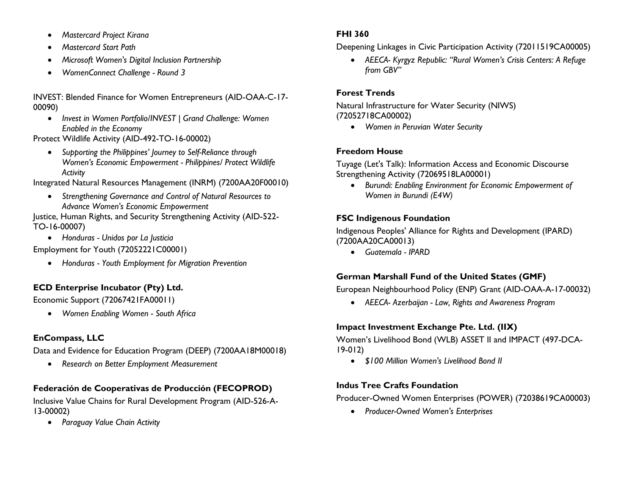- *Mastercard Project Kirana*
- *Mastercard Start Path*
- *Microsoft Women's Digital Inclusion Partnership*
- *WomenConnect Challenge - Round 3*

#### INVEST: Blended Finance for Women Entrepreneurs (AID-OAA-C-17- 00090)

• *Invest in Women Portfolio/INVEST | Grand Challenge: Women Enabled in the Economy*

Protect Wildlife Activity (AID-492-TO-16-00002)

• *Supporting the Philippines' Journey to Self-Reliance through Women's Economic Empowerment - Philippines/ Protect Wildlife Activity*

Integrated Natural Resources Management (INRM) (7200AA20F00010)

• *Strengthening Governance and Control of Natural Resources to Advance Women's Economic Empowerment*

Justice, Human Rights, and Security Strengthening Activity (AID-522- TO-16-00007)

• *Honduras - Unidos por La Justicia*

Employment for Youth (72052221C00001)

• *Honduras - Youth Employment for Migration Prevention*

# **ECD Enterprise Incubator (Pty) Ltd.**

Economic Support (72067421FA00011)

• *Women Enabling Women - South Africa*

## **EnCompass, LLC**

Data and Evidence for Education Program (DEEP) (7200AA18M00018)

• *Research on Better Employment Measurement*

# **Federación de Cooperativas de Producción (FECOPROD)**

Inclusive Value Chains for Rural Development Program (AID-526-A-13-00002)

• *Paraguay Value Chain Activity*

## **FHI 360**

Deepening Linkages in Civic Participation Activity (72011519CA00005)

• *AEECA- Kyrgyz Republic: "Rural Women's Crisis Centers: A Refuge from GBV"*

## **Forest Trends**

Natural Infrastructure for Water Security (NIWS) (72052718CA00002)

• *Women in Peruvian Water Security*

## **Freedom House**

Tuyage (Let's Talk): Information Access and Economic Discourse Strengthening Activity (72069518LA00001)

• *Burundi: Enabling Environment for Economic Empowerment of Women in Burundi (E4W)*

## **FSC Indigenous Foundation**

Indigenous Peoples' Alliance for Rights and Development (IPARD) (7200AA20CA00013)

• *Guatemala - IPARD*

## **German Marshall Fund of the United States (GMF)**

European Neighbourhood Policy (ENP) Grant (AID-OAA-A-17-00032)

• *AEECA- Azerbaijan - Law, Rights and Awareness Program*

## **Impact Investment Exchange Pte. Ltd. (IIX)**

Women's Livelihood Bond (WLB) ASSET II and IMPACT (497-DCA-19-012)

• *\$100 Million Women's Livelihood Bond II*

## **Indus Tree Crafts Foundation**

Producer-Owned Women Enterprises (POWER) (72038619CA00003)

• *Producer-Owned Women's Enterprises*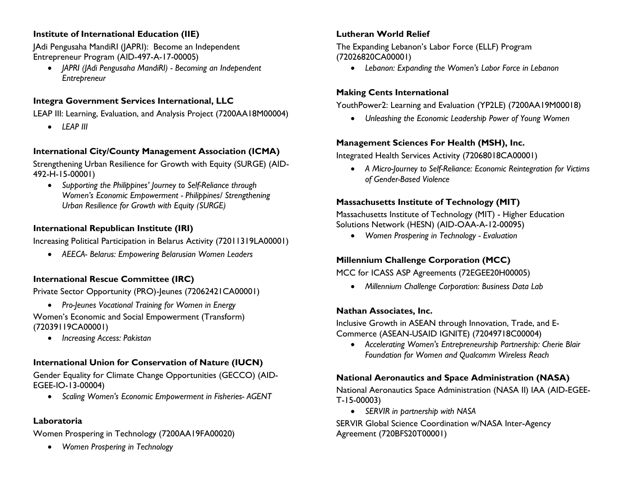#### **Institute of International Education (IIE)**

JAdi Pengusaha MandiRI (JAPRI): Become an Independent Entrepreneur Program (AID-497-A-17-00005)

• *JAPRI (JAdi Pengusaha MandiRI) - Becoming an Independent Entrepreneur*

## **Integra Government Services International, LLC**

LEAP III: Learning, Evaluation, and Analysis Project (7200AA18M00004)

• *LEAP III*

## **International City/County Management Association (ICMA)**

Strengthening Urban Resilience for Growth with Equity (SURGE) (AID-492-H-15-00001)

• *Supporting the Philippines' Journey to Self-Reliance through Women's Economic Empowerment - Philippines/ Strengthening Urban Resilience for Growth with Equity (SURGE)*

#### **International Republican Institute (IRI)**

Increasing Political Participation in Belarus Activity (72011319LA00001)

• *AEECA- Belarus: Empowering Belarusian Women Leaders*

## **International Rescue Committee (IRC)**

Private Sector Opportunity (PRO)-Jeunes (72062421CA00001)

• *Pro-Jeunes Vocational Training for Women in Energy*

Women's Economic and Social Empowerment (Transform) (72039119CA00001)

• *Increasing Access: Pakistan*

## **International Union for Conservation of Nature (IUCN)**

Gender Equality for Climate Change Opportunities (GECCO) (AID-EGEE-IO-13-00004)

• *Scaling Women's Economic Empowerment in Fisheries- AGENT*

#### **Laboratoria**

Women Prospering in Technology (7200AA19FA00020)

• *Women Prospering in Technology*

## **Lutheran World Relief**

The Expanding Lebanon's Labor Force (ELLF) Program (72026820CA00001)

• *Lebanon: Expanding the Women's Labor Force in Lebanon*

#### **Making Cents International**

YouthPower2: Learning and Evaluation (YP2LE) (7200AA19M00018)

• *Unleashing the Economic Leadership Power of Young Women*

## **Management Sciences For Health (MSH), Inc.**

Integrated Health Services Activity (72068018CA00001)

• *A Micro-Journey to Self-Reliance: Economic Reintegration for Victims of Gender-Based Violence*

## **Massachusetts Institute of Technology (MIT)**

Massachusetts Institute of Technology (MIT) - Higher Education Solutions Network (HESN) (AID-OAA-A-12-00095)

• *Women Prospering in Technology - Evaluation*

## **Millennium Challenge Corporation (MCC)**

## MCC for ICASS ASP Agreements (72EGEE20H00005)

• *Millennium Challenge Corporation: Business Data Lab*

## **Nathan Associates, Inc.**

Inclusive Growth in ASEAN through Innovation, Trade, and E-Commerce (ASEAN-USAID IGNITE) (72049718C00004)

• *Accelerating Women's Entrepreneurship Partnership: Cherie Blair Foundation for Women and Qualcomm Wireless Reach*

## **National Aeronautics and Space Administration (NASA)**

National Aeronautics Space Administration (NASA II) IAA (AID-EGEE-T-15-00003)

• *SERVIR in partnership with NASA*

SERVIR Global Science Coordination w/NASA Inter-Agency Agreement (720BFS20T00001)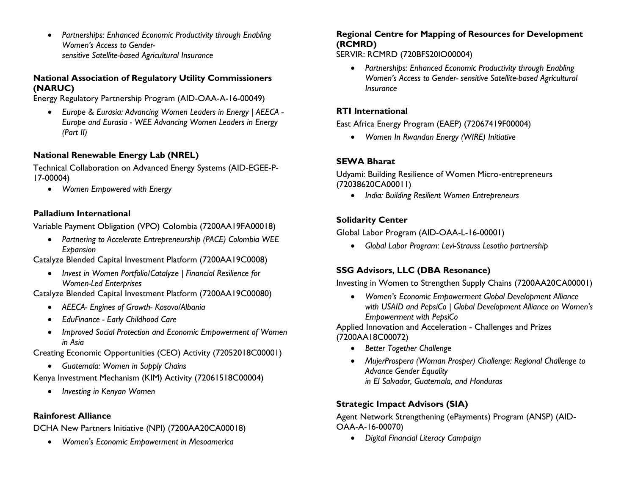• *Partnerships: Enhanced Economic Productivity through Enabling Women's Access to Gendersensitive Satellite-based Agricultural Insurance*

#### **National Association of Regulatory Utility Commissioners (NARUC)**

Energy Regulatory Partnership Program (AID-OAA-A-16-00049)

• *Europe & Eurasia: Advancing Women Leaders in Energy | AEECA - Europe and Eurasia - WEE Advancing Women Leaders in Energy (Part II)*

## **National Renewable Energy Lab (NREL)**

Technical Collaboration on Advanced Energy Systems (AID-EGEE-P-17-00004)

• *Women Empowered with Energy*

#### **Palladium International**

Variable Payment Obligation (VPO) Colombia (7200AA19FA00018)

• *Partnering to Accelerate Entrepreneurship (PACE) Colombia WEE Expansion*

Catalyze Blended Capital Investment Platform (7200AA19C0008)

• *Invest in Women Portfolio/Catalyze | Financial Resilience for Women-Led Enterprises*

Catalyze Blended Capital Investment Platform (7200AA19C00080)

- *AEECA- Engines of Growth- Kosovo/Albania*
- *EduFinance - Early Childhood Care*
- *Improved Social Protection and Economic Empowerment of Women in Asia*

Creating Economic Opportunities (CEO) Activity (72052018C00001)

• *Guatemala: Women in Supply Chains*

Kenya Investment Mechanism (KIM) Activity (72061518C00004)

• *Investing in Kenyan Women*

#### **Rainforest Alliance**

DCHA New Partners Initiative (NPI) (7200AA20CA00018)

• *Women's Economic Empowerment in Mesoamerica*

#### **Regional Centre for Mapping of Resources for Development (RCMRD)**

SERVIR: RCMRD (720BFS20IO00004)

• *Partnerships: Enhanced Economic Productivity through Enabling Women's Access to Gender- sensitive Satellite-based Agricultural Insurance*

#### **RTI International**

East Africa Energy Program (EAEP) (72067419F00004)

• *Women In Rwandan Energy (WIRE) Initiative*

## **SEWA Bharat**

Udyami: Building Resilience of Women Micro-entrepreneurs (72038620CA00011)

• *India: Building Resilient Women Entrepreneurs*

#### **Solidarity Center**

Global Labor Program (AID-OAA-L-16-00001)

• *Global Labor Program: Levi-Strauss Lesotho partnership*

## **SSG Advisors, LLC (DBA Resonance)**

Investing in Women to Strengthen Supply Chains (7200AA20CA00001)

• *Women's Economic Empowerment Global Development Alliance with USAID and PepsiCo | Global Development Alliance on Women's Empowerment with PepsiCo*

Applied Innovation and Acceleration - Challenges and Prizes (7200AA18C00072)

- *Better Together Challenge*
- *MujerProspera (Woman Prosper) Challenge: Regional Challenge to Advance Gender Equality in El Salvador, Guatemala, and Honduras*

## **Strategic Impact Advisors (SIA)**

Agent Network Strengthening (ePayments) Program (ANSP) (AID-OAA-A-16-00070)

• *Digital Financial Literacy Campaign*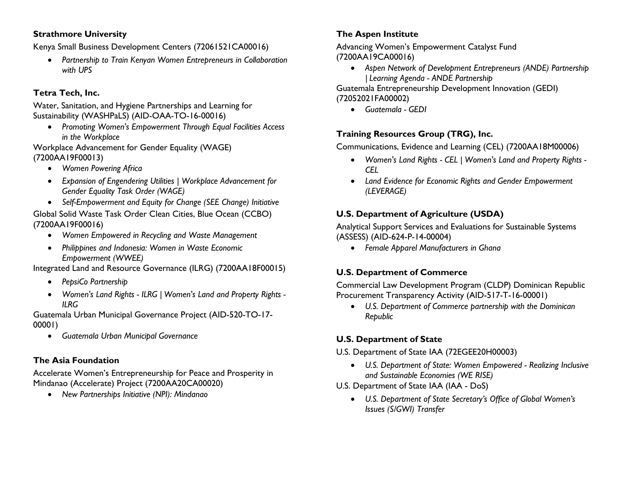#### **Strathmore University**

Kenya Small Business Development Centers (72061521CA00016)

• *Partnership to Train Kenyan Women Entrepreneurs in Collaboration with UPS*

#### **Tetra Tech, Inc.**

Water, Sanitation, and Hygiene Partnerships and Learning for Sustainability (WASHPaLS) (AID-OAA-TO-16-00016)

• *Promoting Women's Empowerment Through Equal Facilities Access in the Workplace*

Workplace Advancement for Gender Equality (WAGE) (7200AA19F00013)

- *Women Powering Africa*
- *Expansion of Engendering Utilities | Workplace Advancement for Gender Equality Task Order (WAGE)*
- *Self-Empowerment and Equity for Change (SEE Change) Initiative*

Global Solid Waste Task Order Clean Cities, Blue Ocean (CCBO) (7200AA19F00016)

- *Women Empowered in Recycling and Waste Management*
- *Philippines and Indonesia: Women in Waste Economic Empowerment (WWEE)*

Integrated Land and Resource Governance (ILRG) (7200AA18F00015)

- *PepsiCo Partnership*
- *Women's Land Rights - ILRG | Women's Land and Property Rights - ILRG*

Guatemala Urban Municipal Governance Project (AID-520-TO-17- 00001)

• *Guatemala Urban Municipal Governance*

#### **The Asia Foundation**

Accelerate Women's Entrepreneurship for Peace and Prosperity in Mindanao (Accelerate) Project (7200AA20CA00020)

• *New Partnerships Initiative (NPI): Mindanao*

#### **The Aspen Institute**

Advancing Women's Empowerment Catalyst Fund (7200AA19CA00016)

• *Aspen Network of Development Entrepreneurs (ANDE) Partnership | Learning Agenda - ANDE Partnership* 

Guatemala Entrepreneurship Development Innovation (GEDI) (72052021FA00002)

• *Guatemala - GEDI*

#### **Training Resources Group (TRG), Inc.**

Communications, Evidence and Learning (CEL) (7200AA18M00006)

- *Women's Land Rights - CEL | Women's Land and Property Rights - CEL*
- *Land Evidence for Economic Rights and Gender Empowerment (LEVERAGE)*

#### **U.S. Department of Agriculture (USDA)**

Analytical Support Services and Evaluations for Sustainable Systems (ASSESS) (AID-624-P-14-00004)

• *Female Apparel Manufacturers in Ghana*

#### **U.S. Department of Commerce**

Commercial Law Development Program (CLDP) Dominican Republic Procurement Transparency Activity (AID-517-T-16-00001)

• *U.S. Department of Commerce partnership with the Dominican Republic*

#### **U.S. Department of State**

U.S. Department of State IAA (72EGEE20H00003)

- *U.S. Department of State: Women Empowered - Realizing Inclusive and Sustainable Economies (WE RISE)*
- U.S. Department of State IAA (IAA DoS)
	- *U.S. Department of State Secretary's Office of Global Women's Issues (S/GWI) Transfer*